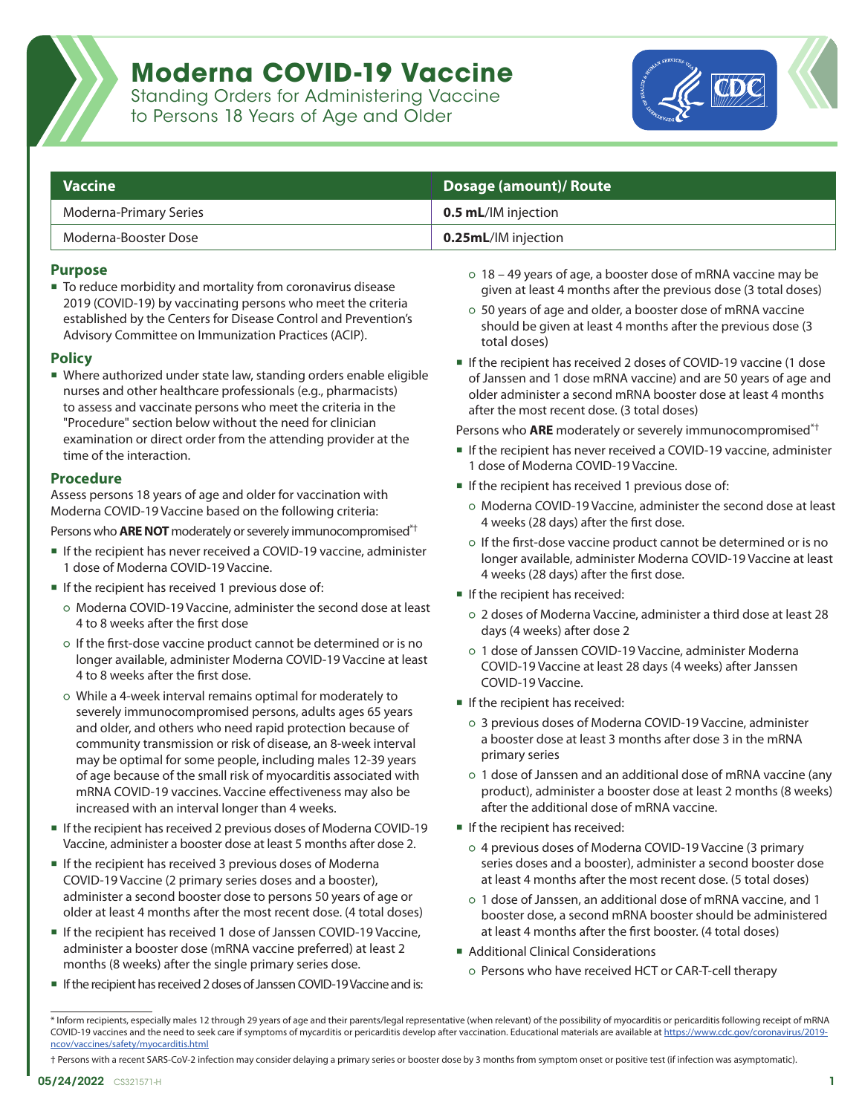

### **Moderna COVID-19 Vaccine**

Standing Orders for Administering Vaccine to Persons 18 Years of Age and Older



| $\blacksquare$ Vaccine | Dosage (amount)/ Route      |  |
|------------------------|-----------------------------|--|
| Moderna-Primary Series | <b>0.5 mL</b> /IM injection |  |
| Moderna-Booster Dose   | <b>0.25mL</b> /IM injection |  |

#### **Purpose**

■ To reduce morbidity and mortality from coronavirus disease 2019 (COVID-19) by vaccinating persons who meet the criteria established by the Centers for Disease Control and Prevention's Advisory Committee on Immunization Practices (ACIP).

#### **Policy**

 Where authorized under state law, standing orders enable eligible nurses and other healthcare professionals (e.g., pharmacists) to assess and vaccinate persons who meet the criteria in the "Procedure" section below without the need for clinician examination or direct order from the attending provider at the time of the interaction.

#### **Procedure**

Assess persons 18 years of age and older for vaccination with Moderna COVID-19 Vaccine based on the following criteria:

Persons who **ARE NOT** moderately or severely immunocompromised\*†

- If the recipient has never received a COVID-19 vaccine, administer 1 dose of Moderna COVID-19 Vaccine.
- If the recipient has received 1 previous dose of:
	- Moderna COVID-19 Vaccine, administer the second dose at least 4 to 8 weeks after the first dose
	- If the first-dose vaccine product cannot be determined or is no longer available, administer Moderna COVID-19 Vaccine at least 4 to 8 weeks after the first dose.
	- While a 4-week interval remains optimal for moderately to severely immunocompromised persons, adults ages 65 years and older, and others who need rapid protection because of community transmission or risk of disease, an 8-week interval may be optimal for some people, including males 12-39 years of age because of the small risk of myocarditis associated with mRNA COVID-19 vaccines. Vaccine effectiveness may also be increased with an interval longer than 4 weeks.
- If the recipient has received 2 previous doses of Moderna COVID-19 Vaccine, administer a booster dose at least 5 months after dose 2.
- If the recipient has received 3 previous doses of Moderna COVID-19 Vaccine (2 primary series doses and a booster), administer a second booster dose to persons 50 years of age or older at least 4 months after the most recent dose. (4 total doses)
- If the recipient has received 1 dose of Janssen COVID-19 Vaccine, administer a booster dose (mRNA vaccine preferred) at least 2 months (8 weeks) after the single primary series dose.
- If the recipient has received 2 doses of Janssen COVID-19 Vaccine and is:
- 18 49 years of age, a booster dose of mRNA vaccine may be given at least 4 months after the previous dose (3 total doses)
- 50 years of age and older, a booster dose of mRNA vaccine should be given at least 4 months after the previous dose (3 total doses)
- If the recipient has received 2 doses of COVID-19 vaccine (1 dose of Janssen and 1 dose mRNA vaccine) and are 50 years of age and older administer a second mRNA booster dose at least 4 months after the most recent dose. (3 total doses)

Persons who **ARE** moderately or severely immunocompromised\*†

- If the recipient has never received a COVID-19 vaccine, administer 1 dose of Moderna COVID-19 Vaccine.
- If the recipient has received 1 previous dose of:
	- Moderna COVID-19 Vaccine, administer the second dose at least 4 weeks (28 days) after the first dose.
	- If the first-dose vaccine product cannot be determined or is no longer available, administer Moderna COVID-19 Vaccine at least 4 weeks (28 days) after the first dose.
- If the recipient has received:
	- 2 doses of Moderna Vaccine, administer a third dose at least 28 days (4 weeks) after dose 2
	- 1 dose of Janssen COVID-19 Vaccine, administer Moderna COVID-19 Vaccine at least 28 days (4 weeks) after Janssen COVID-19 Vaccine.
- If the recipient has received:
	- 3 previous doses of Moderna COVID-19 Vaccine, administer a booster dose at least 3 months after dose 3 in the mRNA primary series
	- 1 dose of Janssen and an additional dose of mRNA vaccine (any product), administer a booster dose at least 2 months (8 weeks) after the additional dose of mRNA vaccine.
- If the recipient has received:
	- 4 previous doses of Moderna COVID-19 Vaccine (3 primary series doses and a booster), administer a second booster dose at least 4 months after the most recent dose. (5 total doses)
	- 1 dose of Janssen, an additional dose of mRNA vaccine, and 1 booster dose, a second mRNA booster should be administered at least 4 months after the first booster. (4 total doses)
- Additional Clinical Considerations
	- Persons who have received HCT or CAR-T-cell therapy

† Persons with a recent SARS-CoV-2 infection may consider delaying a primary series or booster dose by 3 months from symptom onset or positive test (if infection was asymptomatic).

<sup>\*</sup> Inform recipients, especially males 12 through 29 years of age and their parents/legal representative (when relevant) of the possibility of myocarditis or pericarditis following receipt of mRNA COVID-19 vaccines and the need to seek care if symptoms of mycarditis or pericarditis develop after vaccination. Educational materials are available at [https://www.cdc.gov/coronavirus/2019](https://www.cdc.gov/coronavirus/2019-ncov/vaccines/safety/myocarditis.html) [ncov/vaccines/safety/myocarditis.html](https://www.cdc.gov/coronavirus/2019-ncov/vaccines/safety/myocarditis.html)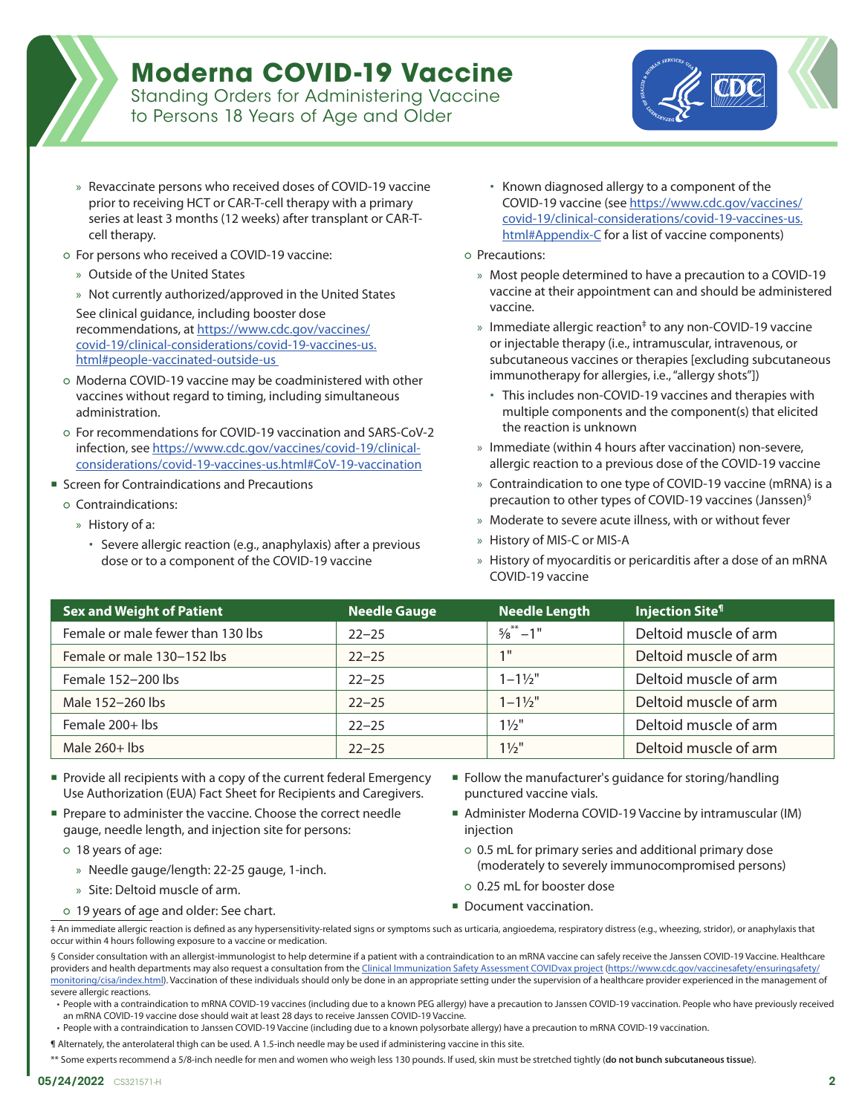## **Moderna COVID-19 Vaccine**

Standing Orders for Administering Vaccine to Persons 18 Years of Age and Older



- » Revaccinate persons who received doses of COVID-19 vaccine prior to receiving HCT or CAR-T-cell therapy with a primary series at least 3 months (12 weeks) after transplant or CAR-Tcell therapy.
- For persons who received a COVID-19 vaccine:
	- » Outside of the United States
	- » Not currently authorized/approved in the United States

See clinical guidance, including booster dose recommendations, at [https://www.cdc.gov/vaccines/](https://www.cdc.gov/vaccines/covid-19/clinical-considerations/covid-19-vaccines-us.html#people-vacci) [covid-19/clinical-considerations/covid-19-vaccines-us.](https://www.cdc.gov/vaccines/covid-19/clinical-considerations/covid-19-vaccines-us.html#people-vacci) [html#people-vaccinated-outside-us](https://www.cdc.gov/vaccines/covid-19/clinical-considerations/covid-19-vaccines-us.html#people-vacci) 

- Moderna COVID-19 vaccine may be coadministered with other vaccines without regard to timing, including simultaneous administration.
- For recommendations for COVID-19 vaccination and SARS-CoV-2 infection, see [https://www.cdc.gov/vaccines/covid-19/clinical](https://www.cdc.gov/vaccines/covid-19/clinical-considerations/covid-19-vaccines-us.html#CoV-19-vaccination)[considerations/covid-19-vaccines-us.html#CoV-19-vaccination](https://www.cdc.gov/vaccines/covid-19/clinical-considerations/covid-19-vaccines-us.html#CoV-19-vaccination)
- Screen for Contraindications and Precautions
	- Contraindications:
		- » History of a:
			- Severe allergic reaction (e.g., anaphylaxis) after a previous dose or to a component of the COVID-19 vaccine
- Known diagnosed allergy to a component of the COVID-19 vaccine (see [https://www.cdc.gov/vaccines/](https://www.cdc.gov/vaccines/covid-19/clinical-considerations/covid-19-vaccines-us.html#Appendix-C) [covid-19/clinical-considerations/covid-19-vaccines-us.](https://www.cdc.gov/vaccines/covid-19/clinical-considerations/covid-19-vaccines-us.html#Appendix-C) [html#Appendix-C for a list of vaccine components](https://www.cdc.gov/vaccines/covid-19/clinical-considerations/covid-19-vaccines-us.html#Appendix-C))
- Precautions:
	- » Most people determined to have a precaution to a COVID-19 vaccine at their appointment can and should be administered vaccine.
	- » Immediate allergic reaction<sup>‡</sup> to any non-COVID-19 vaccine or injectable therapy (i.e., intramuscular, intravenous, or subcutaneous vaccines or therapies [excluding subcutaneous immunotherapy for allergies, i.e., "allergy shots"])
		- This includes non-COVID-19 vaccines and therapies with multiple components and the component(s) that elicited the reaction is unknown
	- » Immediate (within 4 hours after vaccination) non-severe, allergic reaction to a previous dose of the COVID-19 vaccine
	- » Contraindication to one type of COVID-19 vaccine (mRNA) is a precaution to other types of COVID-19 vaccines (Janssen)§
	- » Moderate to severe acute illness, with or without fever
	- » History of MIS-C or MIS-A
	- » History of myocarditis or pericarditis after a dose of an mRNA COVID-19 vaccine

| Sex and Weight of Patient         | <b>Needle Gauge</b> | Needle Length      | <b>Injection Site<sup>1</sup></b> |
|-----------------------------------|---------------------|--------------------|-----------------------------------|
| Female or male fewer than 130 lbs | $22 - 25$           | $5/8$ ** $-1$ "    | Deltoid muscle of arm             |
| Female or male 130-152 lbs        | $22 - 25$           | 1 <sup>11</sup>    | Deltoid muscle of arm             |
| Female 152-200 lbs                | $22 - 25$           | $1 - 1\frac{1}{2}$ | Deltoid muscle of arm             |
| Male 152-260 lbs                  | $22 - 25$           | $1 - 1\frac{1}{2}$ | Deltoid muscle of arm             |
| Female 200+ lbs                   | $22 - 25$           | $1\frac{1}{2}$     | Deltoid muscle of arm             |
| Male $260+$ lbs                   | $22 - 25$           | $1\frac{1}{2}$     | Deltoid muscle of arm             |

- Provide all recipients with a copy of the current federal Emergency Use Authorization (EUA) Fact Sheet for Recipients and Caregivers.
- Prepare to administer the vaccine. Choose the correct needle gauge, needle length, and injection site for persons:
	- 18 years of age:
		- » Needle gauge/length: 22-25 gauge, 1-inch.
		- » Site: Deltoid muscle of arm.
	- 19 years of age and older: See chart.
- **Follow the manufacturer's guidance for storing/handling** punctured vaccine vials.
- Administer Moderna COVID-19 Vaccine by intramuscular (IM) injection
	- 0.5 mL for primary series and additional primary dose (moderately to severely immunocompromised persons)
	- 0.25 mL for booster dose
- Document vaccination.

‡ An immediate allergic reaction is defined as any hypersensitivity-related signs or symptoms such as urticaria, angioedema, respiratory distress (e.g., wheezing, stridor), or anaphylaxis that occur within 4 hours following exposure to a vaccine or medication.

§ Consider consultation with an allergist-immunologist to help determine if a patient with a contraindication to an mRNA vaccine can safely receive the Janssen COVID-19 Vaccine. Healthcare providers and health departments may also request a consultation from the [Clinical Immunization Safety Assessment COVIDvax project \(https://www.cdc.gov/vaccinesafety/ensuringsafety/](https://www.cdc.gov/vaccinesafety/ensuringsafety/monitoring/cisa/index.html) [monitoring/cisa/index.html](https://www.cdc.gov/vaccinesafety/ensuringsafety/monitoring/cisa/index.html)). Vaccination of these individuals should only be done in an appropriate setting under the supervision of a healthcare provider experienced in the management of severe allergic reactions.

• People with a contraindication to mRNA COVID-19 vaccines (including due to a known PEG allergy) have a precaution to Janssen COVID-19 vaccination. People who have previously received an mRNA COVID-19 vaccine dose should wait at least 28 days to receive Janssen COVID-19 Vaccine.

• People with a contraindication to Janssen COVID-19 Vaccine (including due to a known polysorbate allergy) have a precaution to mRNA COVID-19 vaccination.

¶ Alternately, the anterolateral thigh can be used. A 1.5-inch needle may be used if administering vaccine in this site.

\*\* Some experts recommend a 5/8-inch needle for men and women who weigh less 130 pounds. If used, skin must be stretched tightly (**do not bunch subcutaneous tissue**).